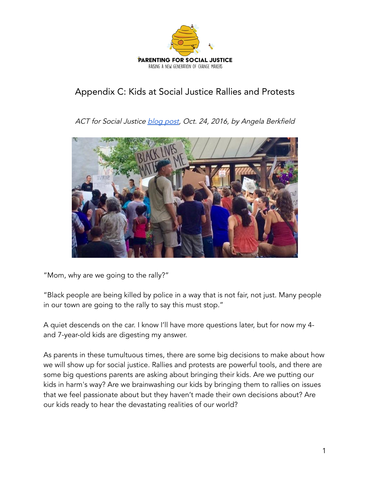

## Appendix C: Kids at Social Justice Rallies and Protests

ACT for Social Justice [blog](http://www.act4socialjustice.com/kids-social-justice-protests-rallies/) post, Oct. 24, 2016, by Angela Berkfield



"Mom, why are we going to the rally?"

"Black people are being killed by police in a way that is not fair, not just. Many people in our town are going to the rally to say this must stop."

A quiet descends on the car. I know I'll have more questions later, but for now my 4 and 7-year-old kids are digesting my answer.

As parents in these tumultuous times, there are some big decisions to make about how we will show up for social justice. Rallies and protests are powerful tools, and there are some big questions parents are asking about bringing their kids. Are we putting our kids in harm's way? Are we brainwashing our kids by bringing them to rallies on issues that we feel passionate about but they haven't made their own decisions about? Are our kids ready to hear the devastating realities of our world?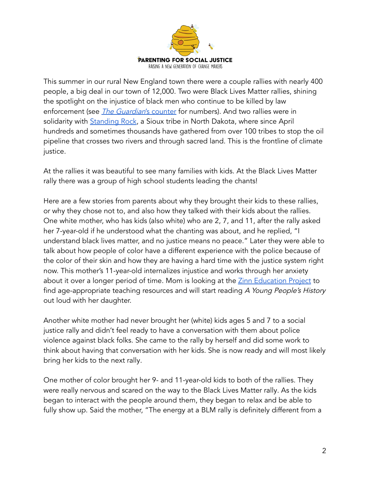

This summer in our rural New England town there were a couple rallies with nearly 400 people, a big deal in our town of 12,000. Two were Black Lives Matter rallies, shining the spotlight on the injustice of black men who continue to be killed by law enforcement (see *The Guardian's* [counter](https://www.theguardian.com/us-news/ng-interactive/2015/jun/01/the-counted-police-killings-us-database) for numbers). And two rallies were in solidarity with [Standing](https://www.facebook.com/Standing-Rock-Sioux-Tribe-402298239798452/) Rock, a Sioux tribe in North Dakota, where since April hundreds and sometimes thousands have gathered from over 100 tribes to stop the oil pipeline that crosses two rivers and through sacred land. This is the frontline of climate justice.

At the rallies it was beautiful to see many families with kids. At the Black Lives Matter rally there was a group of high school students leading the chants!

Here are a few stories from parents about why they brought their kids to these rallies, or why they chose not to, and also how they talked with their kids about the rallies. One white mother, who has kids (also white) who are 2, 7, and 11, after the rally asked her 7-year-old if he understood what the chanting was about, and he replied, "I understand black lives matter, and no justice means no peace." Later they were able to talk about how people of color have a different experience with the police because of the color of their skin and how they are having a hard time with the justice system right now. This mother's 11-year-old internalizes injustice and works through her anxiety about it over a longer period of time. Mom is looking at the Zinn [Education](https://www.zinnedproject.org/) Project to find age-appropriate teaching resources and will start reading A Young People's History out loud with her daughter.

Another white mother had never brought her (white) kids ages 5 and 7 to a social justice rally and didn't feel ready to have a conversation with them about police violence against black folks. She came to the rally by herself and did some work to think about having that conversation with her kids. She is now ready and will most likely bring her kids to the next rally.

One mother of color brought her 9- and 11-year-old kids to both of the rallies. They were really nervous and scared on the way to the Black Lives Matter rally. As the kids began to interact with the people around them, they began to relax and be able to fully show up. Said the mother, "The energy at a BLM rally is definitely different from a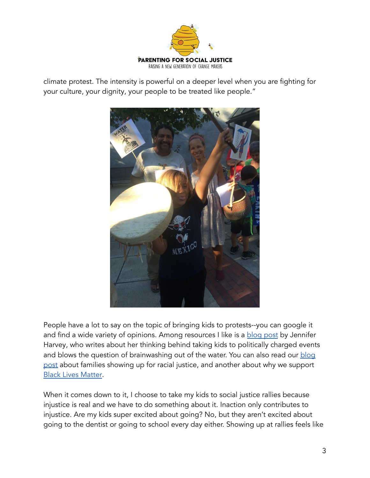

climate protest. The intensity is powerful on a deeper level when you are fighting for your culture, your dignity, your people to be treated like people."



People have a lot to say on the topic of bringing kids to protests--you can google it and find a wide variety of opinions. Among resources I like is a [blog](https://livingformations.com/2015/01/05/i-took-my-kids-to-the-protest/) post by Jennifer Harvey, who writes about her thinking behind taking kids to politically charged events and blows the question of brainwashing out of the water. You can also read our [blog](http://www.act4socialjustice.com/challenge-3-racial-justice/) [post](http://www.act4socialjustice.com/challenge-3-racial-justice/) about families showing up for racial justice, and another about why we support Black Lives [Matter.](http://www.act4socialjustice.com/why-black-lives-matter/)

When it comes down to it, I choose to take my kids to social justice rallies because injustice is real and we have to do something about it. Inaction only contributes to injustice. Are my kids super excited about going? No, but they aren't excited about going to the dentist or going to school every day either. Showing up at rallies feels like